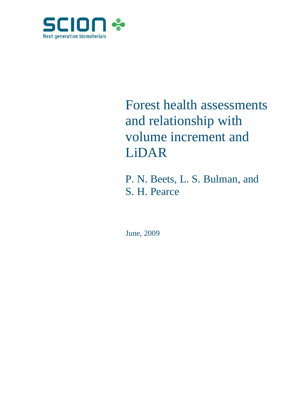

# Forest health assessments and relationship with volume increment and LiDAR

P. N. Beets, L. S. Bulman, and S. H. Pearce

June, 2009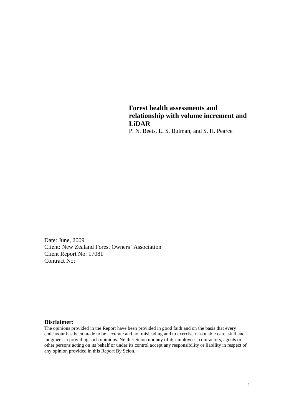**Forest health assessments and relationship with volume increment and LiDAR**

P. N. Beets, L. S. Bulman, and S. H. Pearce

Date: June, 2009 Client: New Zealand Forest Owners' Association Client Report No: 17081 Contract No:

#### **Disclaimer**:

The opinions provided in the Report have been provided in good faith and on the basis that every endeavour has been made to be accurate and not misleading and to exercise reasonable care, skill and judgment in providing such opinions. Neither Scion nor any of its employees, contractors, agents or other persons acting on its behalf or under its control accept any responsibility or liability in respect of any opinion provided in this Report By Scion.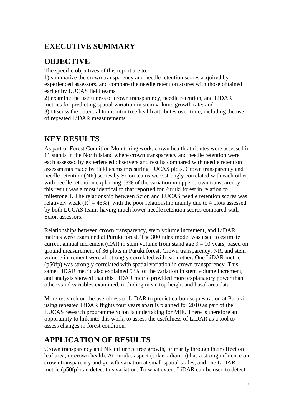# **EXECUTIVE SUMMARY**

# **OBJECTIVE**

The specific objectives of this report are to:

1) summarize the crown transparency and needle retention scores acquired by experienced assessors, and compare the needle retention scores with those obtained earlier by LUCAS field teams,

2) examine the usefulness of crown transparency, needle retention, and LiDAR metrics for predicting spatial variation in stem volume growth rate; and 3) Discuss the potential to monitor tree health attributes over time, including the use of repeated LiDAR measurements.

# **KEY RESULTS**

As part of Forest Condition Monitoring work, crown health attributes were assessed in 11 stands in the North Island where crown transparency and needle retention were each assessed by experienced observers and results compared with needle retention assessments made by field teams measuring LUCAS plots. Crown transparency and needle retention (NR) scores by Scion teams were strongly correlated with each other, with needle retention explaining 68% of the variation in upper crown transparency – this result was almost identical to that reported for Puruki forest in relation to milestone 1. The relationship between Scion and LUCAS needle retention scores was relatively weak ( $R^2 = 43\%$ ), with the poor relationship mainly due to 4 plots assessed by both LUCAS teams having much lower needle retention scores compared with Scion assessors.

Relationships between crown transparency, stem volume increment, and LiDAR metrics were examined at Puruki forest. The 300Index model was used to estimate current annual increment (CAI) in stem volume from stand age  $9 - 10$  years, based on ground measurement of 36 plots in Puruki forest. Crown transparency, NR, and stem volume increment were all strongly correlated with each other. One LiDAR metric (p50fp) was strongly correlated with spatial variation in crown transparency. This same LiDAR metric also explained 53% of the variation in stem volume increment, and analysis showed that this LiDAR metric provided more explanatory power than other stand variables examined, including mean top height and basal area data.

More research on the usefulness of LiDAR to predict carbon sequestration at Puruki using repeated LiDAR flights four years apart is planned for 2010 as part of the LUCAS research programme Scion is undertaking for MfE. There is therefore an opportunity to link into this work, to assess the usefulness of LiDAR as a tool to assess changes in forest condition.

# **APPLICATION OF RESULTS**

Crown transparency and NR influence tree growth, primarily through their effect on leaf area, or crown health. At Puruki, aspect (solar radiation) has a strong influence on crown transparency and growth variation at small spatial scales, and one LiDAR metric (p50fp) can detect this variation. To what extent LiDAR can be used to detect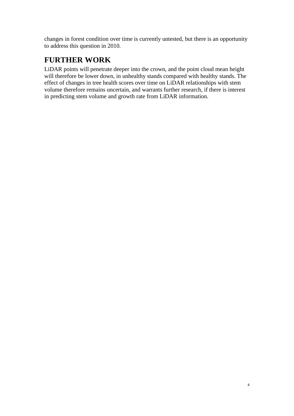changes in forest condition over time is currently untested, but there is an opportunity to address this question in 2010.

# **FURTHER WORK**

LiDAR points will penetrate deeper into the crown, and the point cloud mean height will therefore be lower down, in unhealthy stands compared with healthy stands. The effect of changes in tree health scores over time on LiDAR relationships with stem volume therefore remains uncertain, and warrants further research, if there is interest in predicting stem volume and growth rate from LiDAR information.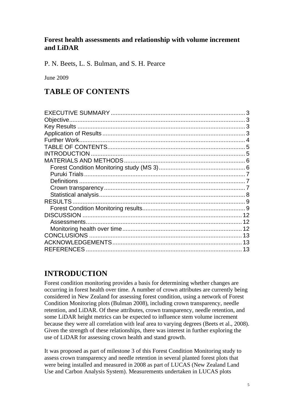## **Forest health assessments and relationship with volume increment and LiDAR**

P. N. Beets, L. S. Bulman, and S. H. Pearce

June 2009

## **TABLE OF CONTENTS**

## **INTRODUCTION**

Forest condition monitoring provides a basis for determining whether changes are occurring in forest health over time. A number of crown attributes are currently being considered in New Zealand for assessing forest condition, using a network of Forest Condition Monitoring plots (Bulman 2008), including crown transparency, needle retention, and LiDAR. Of these attributes, crown transparency, needle retention, and some LiDAR height metrics can be expected to influence stem volume increment because they were all correlation with leaf area to varying degrees (Beets et al., 2008). Given the strength of these relationships, there was interest in further exploring the use of LiDAR for assessing crown health and stand growth.

It was proposed as part of milestone 3 of this Forest Condition Monitoring study to assess crown transparency and needle retention in several planted forest plots that were being installed and measured in 2008 as part of LUCAS (New Zealand Land Use and Carbon Analysis System). Measurements undertaken in LUCAS plots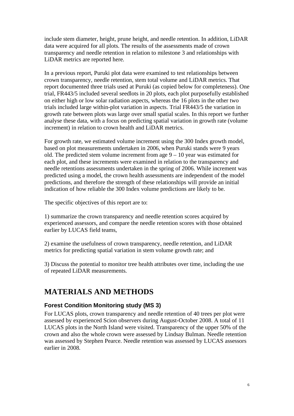include stem diameter, height, prune height, and needle retention. In addition, LiDAR data were acquired for all plots. The results of the assessments made of crown transparency and needle retention in relation to milestone 3 and relationships with LiDAR metrics are reported here.

In a previous report, Puruki plot data were examined to test relationships between crown transparency, needle retention, stem total volume and LiDAR metrics. That report documented three trials used at Puruki (as copied below for completeness). One trial, FR443/5 included several seedlots in 20 plots, each plot purposefully established on either high or low solar radiation aspects, whereas the 16 plots in the other two trials included large within-plot variation in aspects. Trial FR443/5 the variation in growth rate between plots was large over small spatial scales. In this report we further analyse these data, with a focus on predicting spatial variation in growth rate (volume increment) in relation to crown health and LiDAR metrics.

For growth rate, we estimated volume increment using the 300 Index growth model, based on plot measurements undertaken in 2006, when Puruki stands were 9 years old. The predicted stem volume increment from age  $9 - 10$  year was estimated for each plot, and these increments were examined in relation to the transparency and needle retentions assessments undertaken in the spring of 2006. While increment was predicted using a model, the crown health assessments are independent of the model predictions, and therefore the strength of these relationships will provide an initial indication of how reliable the 300 Index volume predictions are likely to be.

The specific objectives of this report are to:

1) summarize the crown transparency and needle retention scores acquired by experienced assessors, and compare the needle retention scores with those obtained earlier by LUCAS field teams,

2) examine the usefulness of crown transparency, needle retention, and LiDAR metrics for predicting spatial variation in stem volume growth rate; and

3) Discuss the potential to monitor tree health attributes over time, including the use of repeated LiDAR measurements.

# **MATERIALS AND METHODS**

## **Forest Condition Monitoring study (MS 3)**

For LUCAS plots, crown transparency and needle retention of 40 trees per plot were assessed by experienced Scion observers during August-October 2008. A total of 11 LUCAS plots in the North Island were visited. Transparency of the upper 50% of the crown and also the whole crown were assessed by Lindsay Bulman. Needle retention was assessed by Stephen Pearce. Needle retention was assessed by LUCAS assessors earlier in 2008.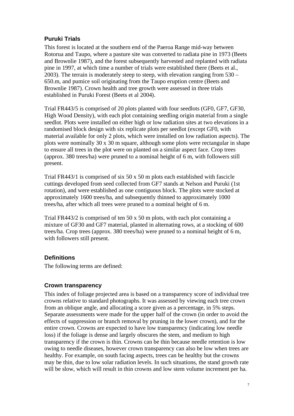## **Puruki Trials**

This forest is located at the southern end of the Paeroa Range mid-way between Rotorua and Taupo, where a pasture site was converted to radiata pine in 1973 (Beets and Brownlie 1987), and the forest subsequently harvested and replanted with radiata pine in 1997, at which time a number of trials were established there (Beets et al., 2003). The terrain is moderately steep to steep, with elevation ranging from 530 – 650.m, and pumice soil originating from the Taupo eruption centre (Beets and Brownlie 1987). Crown health and tree growth were assessed in three trials established in Puruki Forest (Beets et al 2004).

Trial FR443/5 is comprised of 20 plots planted with four seedlots (GF0, GF7, GF30, High Wood Density), with each plot containing seedling origin material from a single seedlot. Plots were installed on either high or low radiation sites at two elevations in a randomised block design with six replicate plots per seedlot (except GF0, with material available for only 2 plots, which were installed on low radiation aspects). The plots were nominally 30 x 30 m square, although some plots were rectangular in shape to ensure all trees in the plot were on planted on a similar aspect face. Crop trees (approx. 380 trees/ha) were pruned to a nominal height of 6 m, with followers still present.

Trial FR443/1 is comprised of six 50 x 50 m plots each established with fascicle cuttings developed from seed collected from GF7 stands at Nelson and Puruki (1st rotation), and were established as one contiguous block. The plots were stocked at approximately 1600 trees/ha, and subsequently thinned to approximately 1000 trees/ha, after which all trees were pruned to a nominal height of 6 m.

Trial FR443/2 is comprised of ten 50 x 50 m plots, with each plot containing a mixture of GF30 and GF7 material, planted in alternating rows, at a stocking of 600 trees/ha. Crop trees (approx. 380 trees/ha) were pruned to a nominal height of 6 m, with followers still present.

## **Definitions**

The following terms are defined:

## **Crown transparency**

This index of foliage projected area is based on a transparency score of individual tree crowns relative to standard photographs. It was assessed by viewing each tree crown from an oblique angle, and allocating a score given as a percentage, in 5% steps. Separate assessments were made for the upper half of the crown (in order to avoid the effects of suppression or branch removal by pruning in the lower crown), and for the entire crown. Crowns are expected to have low transparency (indicating low needle loss) if the foliage is dense and largely obscures the stem, and medium to high transparency if the crown is thin. Crowns can be thin because needle retention is low owing to needle diseases, however crown transparency can also be low when trees are healthy. For example, on south facing aspects, trees can be healthy but the crowns may be thin, due to low solar radiation levels. In such situations, the stand growth rate will be slow, which will result in thin crowns and low stem volume increment per ha.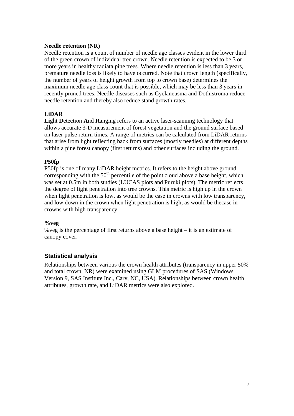#### **Needle retention (NR)**

Needle retention is a count of number of needle age classes evident in the lower third of the green crown of individual tree crown. Needle retention is expected to be 3 or more years in healthy radiata pine trees. Where needle retention is less than 3 years, premature needle loss is likely to have occurred. Note that crown length (specifically, the number of years of height growth from top to crown base) determines the maximum needle age class count that is possible, which may be less than 3 years in recently pruned trees. Needle diseases such as Cyclaneusma and Dothistroma reduce needle retention and thereby also reduce stand growth rates.

#### **LiDAR**

**Li**ght **D**etection **A**nd **R**anging refers to an active laser-scanning technology that allows accurate 3-D measurement of forest vegetation and the ground surface based on laser pulse return times. A range of metrics can be calculated from LiDAR returns that arise from light reflecting back from surfaces (mostly needles) at different depths within a pine forest canopy (first returns) and other surfaces including the ground.

#### **P50fp**

P50fp is one of many LiDAR height metrics. It refers to the height above ground corresponding with the  $50<sup>th</sup>$  percentile of the point cloud above a base height, which was set at 0.5m in both studies (LUCAS plots and Puruki plots). The metric reflects the degree of light penetration into tree crowns. This metric is high up in the crown when light penetration is low, as would be the case in crowns with low transparency, and low down in the crown when light penetration is high, as would be thecase in crowns with high transparency.

#### **%veg**

%veg is the percentage of first returns above a base height – it is an estimate of canopy cover.

## **Statistical analysis**

Relationships between various the crown health attributes (transparency in upper 50% and total crown, NR) were examined using GLM procedures of SAS (Windows Version 9, SAS Institute Inc., Cary, NC, USA). Relationships between crown health attributes, growth rate, and LiDAR metrics were also explored.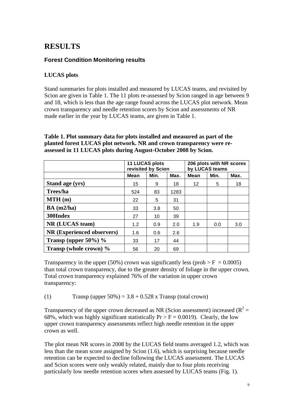# **RESULTS**

## **Forest Condition Monitoring results**

## **LUCAS plots**

Stand summaries for plots installed and measured by LUCAS teams, and revisited by Scion are given in Table 1. The 11 plots re-assessed by Scion ranged in age between 9 and 18, which is less than the age range found across the LUCAS plot network. Mean crown transparency and needle retention scores by Scion and assessments of NR made earlier in the year by LUCAS teams, are given in Table 1.

|                            | 11 LUCAS plots<br>revisited by Scion |      |      | 206 plots with NR scores<br>by LUCAS teams |      |      |
|----------------------------|--------------------------------------|------|------|--------------------------------------------|------|------|
|                            | Mean                                 | Min. | Max. | Mean                                       | Min. | Max. |
| Stand age (yrs)            | 15                                   | 9    | 18   | 12                                         | 5    | 18   |
| Trees/ha                   | 524                                  | 83   | 1283 |                                            |      |      |
| MTH(m)                     | 22                                   | 5    | 31   |                                            |      |      |
| BA (m2/ha)                 | 33                                   | 3.8  | 50   |                                            |      |      |
| 300Index                   | 27                                   | 10   | 39   |                                            |      |      |
| NR (LUCAS team)            | 1.2                                  | 0.9  | 2.0  | 1.9                                        | 0.0  | 3.0  |
| NR (Experienced observers) | 1.6                                  | 0.6  | 2.6  |                                            |      |      |
| Transp (upper $50\%$ ) %   | 33                                   | 17   | 44   |                                            |      |      |
| Transp (whole crown) %     | 56                                   | 20   | 69   |                                            |      |      |

#### **Table 1. Plot summary data for plots installed and measured as part of the planted forest LUCAS plot network. NR and crown transparency were reassessed in 11 LUCAS plots during August-October 2008 by Scion.**

Transparency in the upper (50%) crown was significantly less (prob  $> F = 0.0005$ ) than total crown transparency, due to the greater density of foliage in the upper crown. Total crown transparency explained 76% of the variation in upper crown transparency:

(1) Transp (upper  $50\% = 3.8 + 0.528$  x Transp (total crown)

Transparency of the upper crown decreased as NR (Scion assessment) increased ( $R^2 =$ 68%, which was highly significant statistically  $Pr > F = 0.0019$ ). Clearly, the low upper crown transparency assessments reflect high needle retention in the upper crown as well.

The plot mean NR scores in 2008 by the LUCAS field teams averaged 1.2, which was less than the mean score assigned by Scion (1.6), which is surprising because needle retention can be expected to decline following the LUCAS assessment. The LUCAS and Scion scores were only weakly related, mainly due to four plots receiving particularly low needle retention scores when assessed by LUCAS teams (Fig. 1).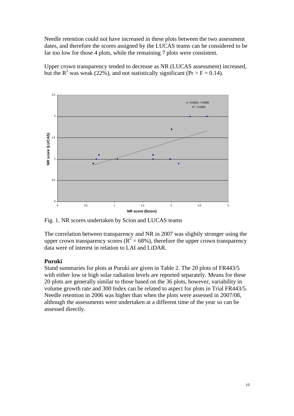Needle retention could not have increased in these plots between the two assessment dates, and therefore the scores assigned by the LUCAS teams can be considered to be far too low for those 4 plots, while the remaining 7 plots were consistent.

Upper crown transparency tended to decrease as NR (LUCAS assessment) increased, but the R<sup>2</sup> was weak (22%), and not statistically significant (Pr > F = 0.14).



Fig. 1. NR scores undertaken by Scion and LUCAS teams

The correlation between transparency and NR in 2007 was slightly stronger using the upper crown transparency scores ( $R^2$  = 68%), therefore the upper crown transparency data were of interest in relation to LAI and LiDAR.

#### **Puruki**

Stand summaries for plots at Puruki are given in Table 2. The 20 plots of FR443/5 with either low or high solar radiation levels are reported separately. Means for these 20 plots are generally similar to those based on the 36 plots, however, variability in volume growth rate and 300 Index can be related to aspect for plots in Trial FR443/5. Needle retention in 2006 was higher than when the plots were assessed in 2007/08, although the assessments were undertaken at a different time of the year so can be assessed directly.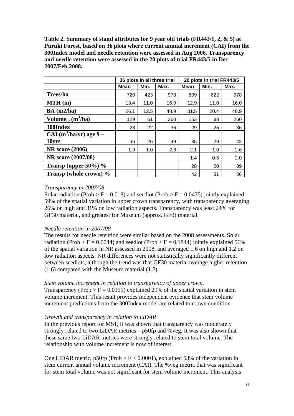**Table 2. Summary of stand attributes for 9 year old trials (FR443/1, 2, & 5) at Puruki Forest, based on 36 plots where current annual increment (CAI) from the 300Index model and needle retention were assessed in Aug 2006. Transparency and needle retention were assessed in the 20 plots of trial FR443/5 in Dec 2007/Feb 2008.** 

|                                 |             |      | 36 plots in all three trial | 20 plots in trial FR443/5 |      |      |  |
|---------------------------------|-------------|------|-----------------------------|---------------------------|------|------|--|
|                                 | <b>Mean</b> | Min. | Max.                        | <b>Mean</b>               | Min. | Max. |  |
| Trees/ha                        | 720         | 423  | 978                         | 809                       | 622  | 978  |  |
| MTH(m)                          | 13.4        | 11.0 | 16.0                        | 12.9                      | 11.0 | 16.0 |  |
| BA (m2/ha)                      | 26.1        | 12.5 | 48.9                        | 31.5                      | 20.4 | 48.9 |  |
| Volume <sub>ib</sub> $(m^3/ha)$ | 129         | 61   | 260                         | 153                       | 88   | 260  |  |
| 300Index                        | 28          | 22   | 36                          | 29                        | 25   | 36   |  |
| $CAI(m^3/ha/yr)$ age 9 –        |             |      |                             |                           |      |      |  |
| 10yrs                           | 36          | 26   | 49                          | 35                        | 29   | 42   |  |
| <b>NR</b> score (2006)          | 1.9         | 1.0  | 2.6                         | 2.1                       | 1.0  | 2.6  |  |
| NR score (2007/08)              |             |      |                             | 1.4                       | 0.5  | 2.0  |  |
| Transp (upper $50\%$ ) %        |             |      |                             | 28                        | 20   | 39   |  |
| Transp (whole crown) %          |             |      |                             | 42                        | 31   | 56   |  |

#### *Transparency in 2007/08*

Solar radiation (Prob > F = 0.018) and seedlot (Prob > F = 0.0475) jointly explained 59% of the spatial variation in upper crown transparency, with transparency averaging 26% on high and 31% on low radiation aspects. Transparency was least 24% for GF30 material, and greatest for Museum (approx. GF0) material.

#### *Needle retention in 2007/08*

The results for needle retention were similar based on the 2008 assessments. Solar radiation (Prob > F = 0.0044) and seedlot (Prob > F = 0.1844) jointly explained 56% of the spatial variation in NR assessed in 2008, and averaged 1.6 on high and 1.2 on low radiation aspects. NR differences were not statistically significantly different between seedlots, although the trend was that GF30 material average higher retention (1.6) compared with the Museum material (1.2).

#### *Stem volume increment in relation to transparency of upper crown.*

Transparency (Prob  $> F = 0.0151$ ) explained 29% of the spatial variation in stem volume increment. This result provides independent evidence that stem volume increment predictions from the 300Index model are related to crown condition.

## *Growth and transparency in relation to LiDAR*

In the previous report for MS1, it was shown that transparency was moderately strongly related to two LiDAR metrics – p50fp and %veg. It was also shown that these same two LiDAR metrics were strongly related to stem total volume. The relationship with volume increment is now of interest.

One LiDAR metric,  $p50fp$  (Prob > F < 0.0001), explained 53% of the variation in stem current annual volume increment (CAI). The %veg metric that was significant for stem total volume was not significant for stem volume increment. This analysis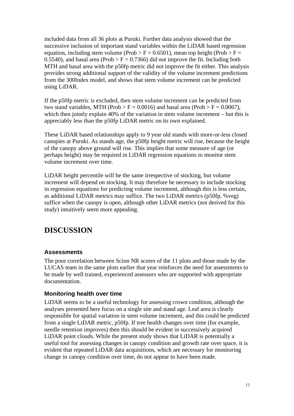included data from all 36 plots at Puruki. Further data analysis showed that the successive inclusion of important stand variables within the LiDAR based regression equation, including stem volume (Prob > F = 0.6501), mean top height (Prob > F = 0.5540), and basal area (Prob  $> F = 0.7366$ ) did not improve the fit. Including both MTH and basal area with the p50fp metric did not improve the fit either. This analysis provides strong additional support of the validity of the volume increment predictions from the 300Index model, and shows that stem volume increment can be predicted using LiDAR.

If the p50fp metric is excluded, then stem volume increment can be predicted from two stand variables, MTH (Prob > F = 0.0016) and basal area (Prob > F = 0.0067), which then jointly explain 40% of the variation in stem volume increment – but this is appreciably less than the p50fp LiDAR metric on its own explained.

These LiDAR based relationships apply to 9 year old stands with more-or-less closed canopies at Puruki. As stands age, the p50fp height metric will rise, because the height of the canopy above ground will rise. This implies that some measure of age (or perhaps height) may be required in LiDAR regression equations to monitor stem volume increment over time.

LiDAR height percentile will be the same irrespective of stocking, but volume increment will depend on stocking. It may therefore be necessary to include stocking in regression equations for predicting volume increment, although this is less certain, as additional LiDAR metrics may suffice. The two LiDAR metrics (p50fp, %veg) suffice when the canopy is open, although other LiDAR metrics (not derived for this study) intuitively seem more appealing.

# **DISCUSSION**

## **Assessments**

The poor correlation between Scion NR scores of the 11 plots and those made by the LUCAS team in the same plots earlier that year reinforces the need for assessments to be made by well trained, experienced assessors who are supported with appropriate documentation.

#### **Monitoring health over time**

LiDAR seems to be a useful technology for assessing crown condition, although the analyses presented here focus on a single site and stand age. Leaf area is clearly responsible for spatial variation in stem volume increment, and this could be predicted from a single LiDAR metric, p50fp. If tree health changes over time (for example, needle retention improves) then this should be evident in successively acquired LiDAR point clouds. While the present study shows that LiDAR is potentially a useful tool for assessing changes in canopy condition and growth rate over space, it is evident that repeated LiDAR data acquisitions, which are necessary for monitoring change in canopy condition over time, do not appear to have been made.